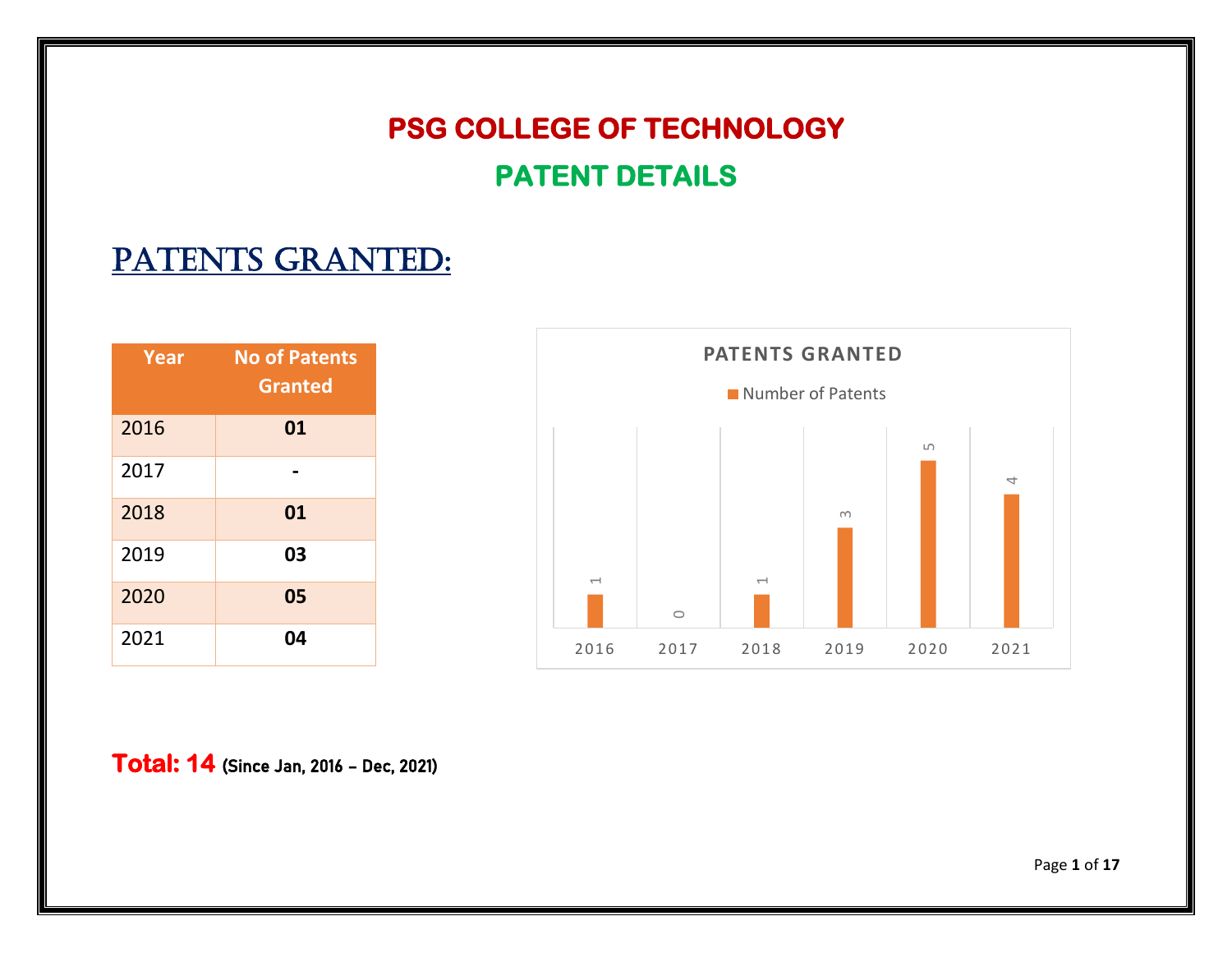## **PSG COLLEGE OF TECHNOLOGY PATENT DETAILS**

## PATENTS GRANTED:

| Year | <b>No of Patents</b><br><b>Granted</b> |
|------|----------------------------------------|
| 2016 | 01                                     |
| 2017 |                                        |
| 2018 | 01                                     |
| 2019 | 03                                     |
| 2020 | 05                                     |
| 2021 | 04                                     |



**Total**: **14** (Since Jan, 2016 – Dec, 2021)

Page **1** of **17**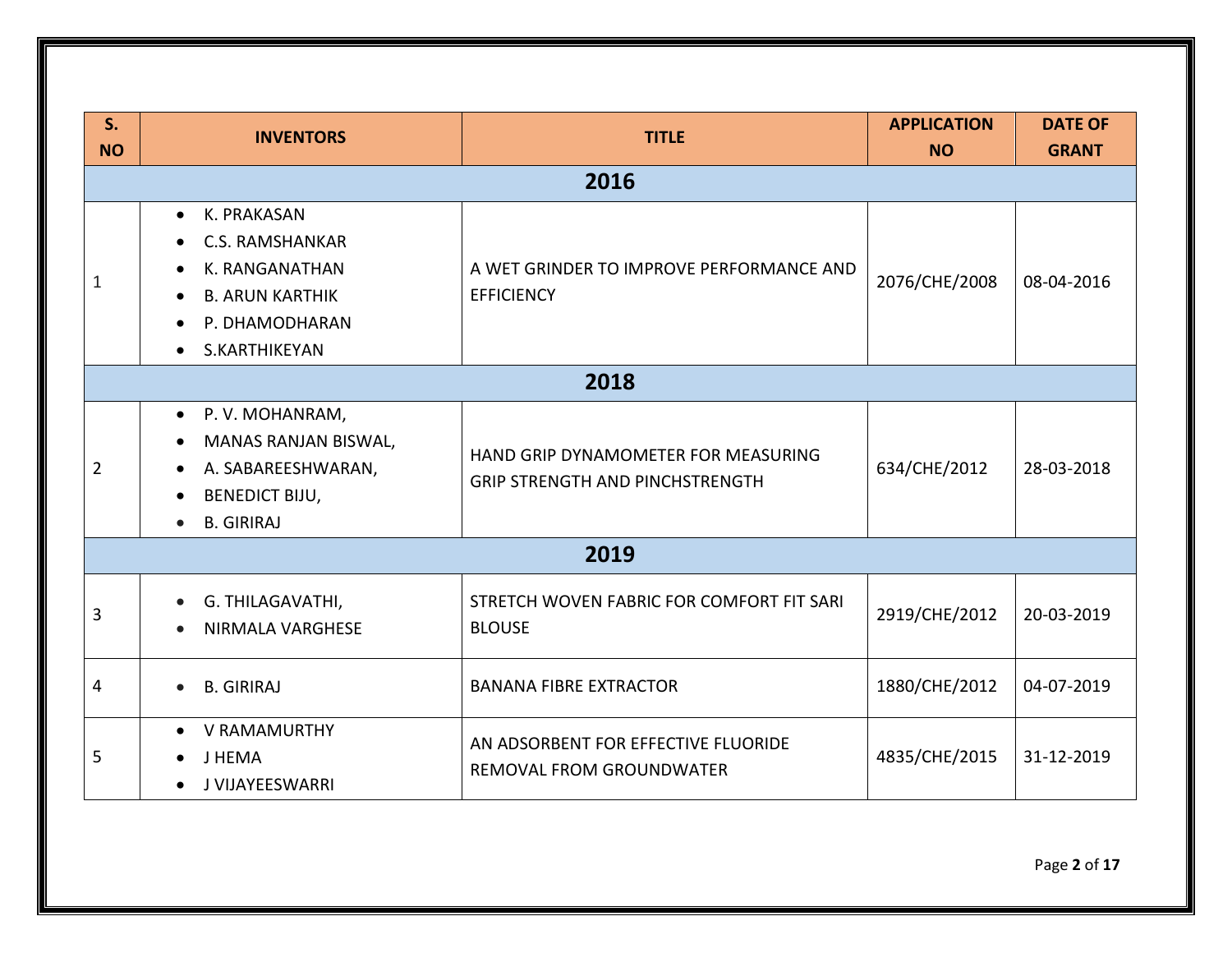| S <sub>1</sub><br><b>NO</b> | <b>INVENTORS</b>                                                                                                                                                                                                                                         | <b>TITLE</b>                                                           | <b>APPLICATION</b><br><b>NO</b> | <b>DATE OF</b><br><b>GRANT</b> |
|-----------------------------|----------------------------------------------------------------------------------------------------------------------------------------------------------------------------------------------------------------------------------------------------------|------------------------------------------------------------------------|---------------------------------|--------------------------------|
|                             |                                                                                                                                                                                                                                                          | 2016                                                                   |                                 |                                |
| 1                           | • K. PRAKASAN<br><b>C.S. RAMSHANKAR</b><br>$\bullet$<br>K. RANGANATHAN<br>A WET GRINDER TO IMPROVE PERFORMANCE AND<br>$\bullet$<br><b>EFFICIENCY</b><br><b>B. ARUN KARTHIK</b><br>$\bullet$<br>P. DHAMODHARAN<br>$\bullet$<br>S.KARTHIKEYAN<br>$\bullet$ |                                                                        | 2076/CHE/2008                   | 08-04-2016                     |
|                             |                                                                                                                                                                                                                                                          | 2018                                                                   |                                 |                                |
| $\overline{2}$              | • P.V. MOHANRAM,<br><b>MANAS RANJAN BISWAL,</b><br>$\bullet$<br>HAND GRIP DYNAMOMETER FOR MEASURING<br>A. SABAREESHWARAN,<br>$\bullet$<br>GRIP STRENGTH AND PINCHSTRENGTH<br><b>BENEDICT BIJU,</b><br><b>B. GIRIRAJ</b>                                  |                                                                        | 634/CHE/2012                    | 28-03-2018                     |
|                             |                                                                                                                                                                                                                                                          | 2019                                                                   |                                 |                                |
| 3                           | G. THILAGAVATHI,<br>$\bullet$<br><b>NIRMALA VARGHESE</b><br>$\bullet$                                                                                                                                                                                    | STRETCH WOVEN FABRIC FOR COMFORT FIT SARI<br><b>BLOUSE</b>             | 2919/CHE/2012                   | 20-03-2019                     |
| 4                           | <b>B. GIRIRAJ</b><br>$\bullet$                                                                                                                                                                                                                           | <b>BANANA FIBRE EXTRACTOR</b>                                          | 1880/CHE/2012                   | 04-07-2019                     |
| 5                           | V RAMAMURTHY<br>$\bullet$<br>J HEMA<br>J VIJAYEESWARRI                                                                                                                                                                                                   | AN ADSORBENT FOR EFFECTIVE FLUORIDE<br><b>REMOVAL FROM GROUNDWATER</b> | 4835/CHE/2015                   | 31-12-2019                     |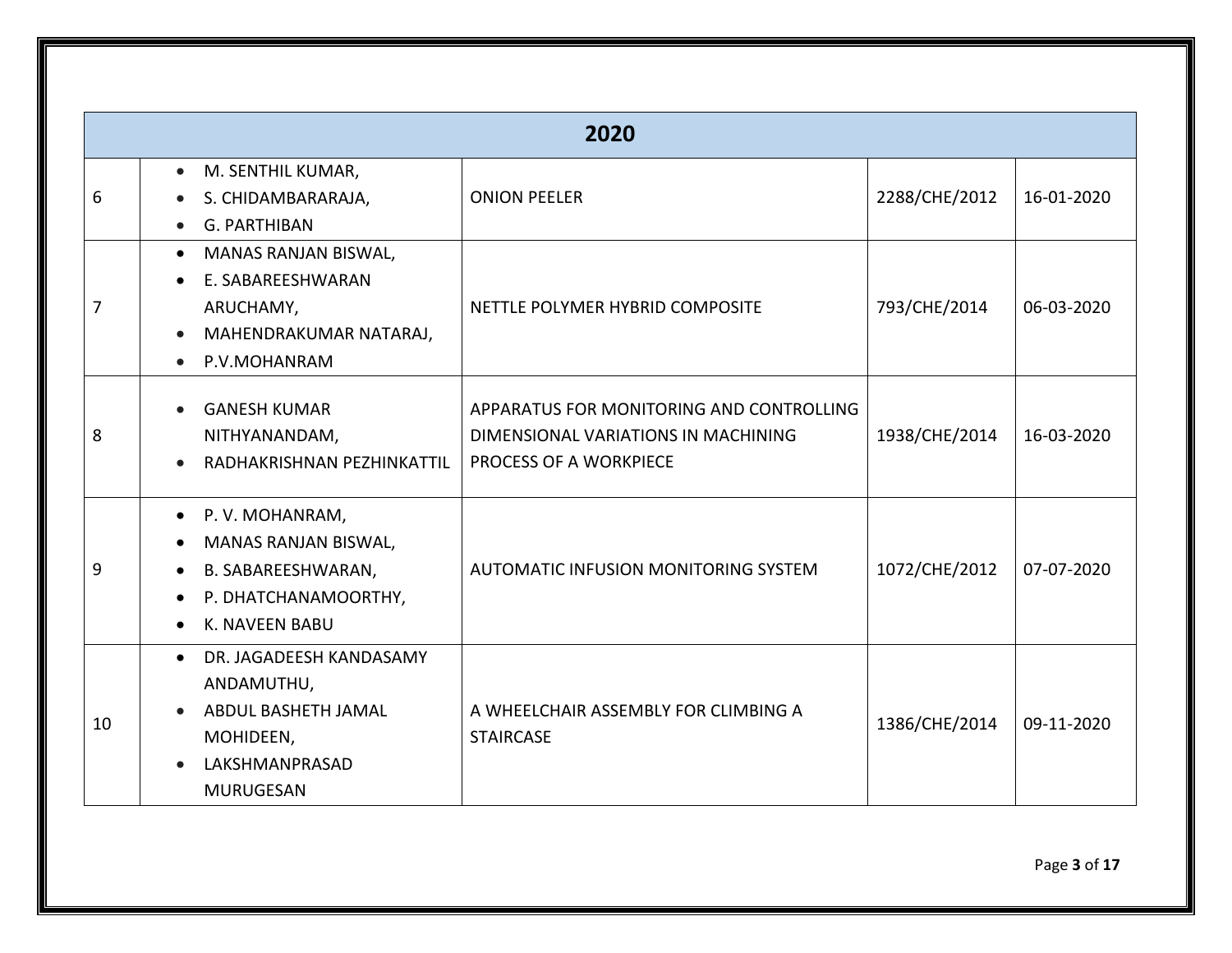|    | 2020                                                                                                                                                                    |                                                                                                           |               |            |  |  |
|----|-------------------------------------------------------------------------------------------------------------------------------------------------------------------------|-----------------------------------------------------------------------------------------------------------|---------------|------------|--|--|
| 6  | M. SENTHIL KUMAR,<br>$\bullet$<br>S. CHIDAMBARARAJA,<br>$\bullet$<br>G. PARTHIBAN                                                                                       | <b>ONION PEELER</b>                                                                                       | 2288/CHE/2012 | 16-01-2020 |  |  |
| 7  | MANAS RANJAN BISWAL,<br>$\bullet$<br>E. SABAREESHWARAN<br>$\bullet$<br>ARUCHAMY,<br>MAHENDRAKUMAR NATARAJ,<br>$\bullet$<br>P.V.MOHANRAM                                 | NETTLE POLYMER HYBRID COMPOSITE                                                                           | 793/CHE/2014  | 06-03-2020 |  |  |
| 8  | <b>GANESH KUMAR</b><br>$\bullet$<br>NITHYANANDAM,<br>RADHAKRISHNAN PEZHINKATTIL<br>$\bullet$                                                                            | APPARATUS FOR MONITORING AND CONTROLLING<br>DIMENSIONAL VARIATIONS IN MACHINING<br>PROCESS OF A WORKPIECE | 1938/CHE/2014 | 16-03-2020 |  |  |
| 9  | P.V. MOHANRAM,<br>$\bullet$<br>MANAS RANJAN BISWAL,<br>$\bullet$<br>B. SABAREESHWARAN,<br>$\bullet$<br>P. DHATCHANAMOORTHY,<br>$\bullet$<br>K. NAVEEN BABU<br>$\bullet$ | AUTOMATIC INFUSION MONITORING SYSTEM                                                                      | 1072/CHE/2012 | 07-07-2020 |  |  |
| 10 | • DR. JAGADEESH KANDASAMY<br>ANDAMUTHU,<br>ABDUL BASHETH JAMAL<br>$\bullet$<br>MOHIDEEN,<br>LAKSHMANPRASAD<br><b>MURUGESAN</b>                                          | A WHEELCHAIR ASSEMBLY FOR CLIMBING A<br><b>STAIRCASE</b>                                                  | 1386/CHE/2014 | 09-11-2020 |  |  |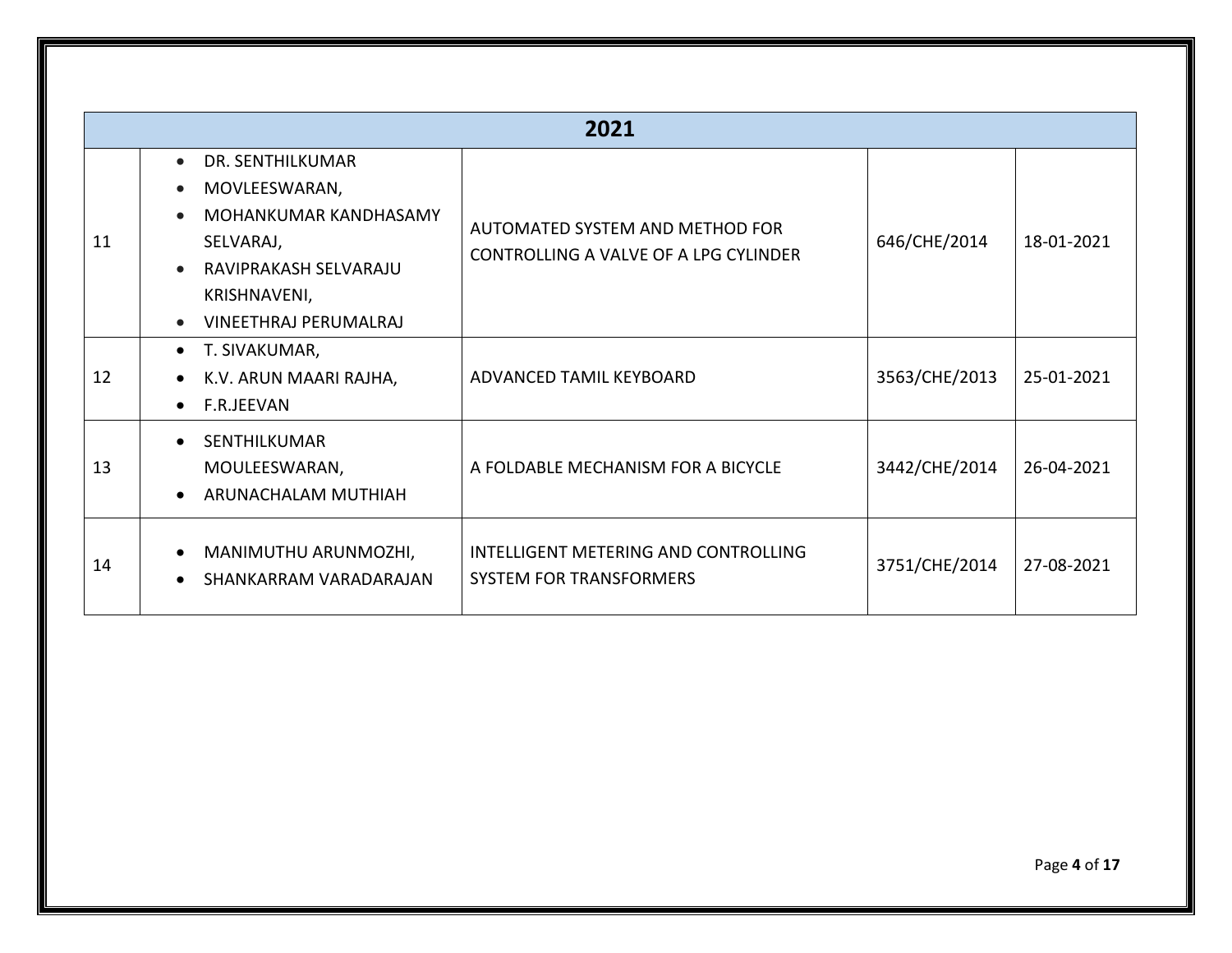|    | 2021                                                                                                                                                                       |                                                                          |               |            |  |  |
|----|----------------------------------------------------------------------------------------------------------------------------------------------------------------------------|--------------------------------------------------------------------------|---------------|------------|--|--|
| 11 | DR. SENTHILKUMAR<br>$\bullet$<br>MOVLEESWARAN,<br>$\bullet$<br>MOHANKUMAR KANDHASAMY<br>SELVARAJ,<br>RAVIPRAKASH SELVARAJU<br>KRISHNAVENI,<br><b>VINEETHRAJ PERUMALRAJ</b> | AUTOMATED SYSTEM AND METHOD FOR<br>CONTROLLING A VALVE OF A LPG CYLINDER | 646/CHE/2014  | 18-01-2021 |  |  |
| 12 | T. SIVAKUMAR,<br>$\bullet$<br>K.V. ARUN MAARI RAJHA,<br>$\bullet$<br>F.R.JEEVAN<br>$\bullet$                                                                               | ADVANCED TAMIL KEYBOARD                                                  | 3563/CHE/2013 | 25-01-2021 |  |  |
| 13 | SENTHILKUMAR<br>$\bullet$<br>MOULEESWARAN,<br>ARUNACHALAM MUTHIAH<br>$\bullet$                                                                                             | A FOLDABLE MECHANISM FOR A BICYCLE                                       | 3442/CHE/2014 | 26-04-2021 |  |  |
| 14 | MANIMUTHU ARUNMOZHI,<br>$\bullet$<br>SHANKARRAM VARADARAJAN<br>$\bullet$                                                                                                   | INTELLIGENT METERING AND CONTROLLING<br><b>SYSTEM FOR TRANSFORMERS</b>   | 3751/CHE/2014 | 27-08-2021 |  |  |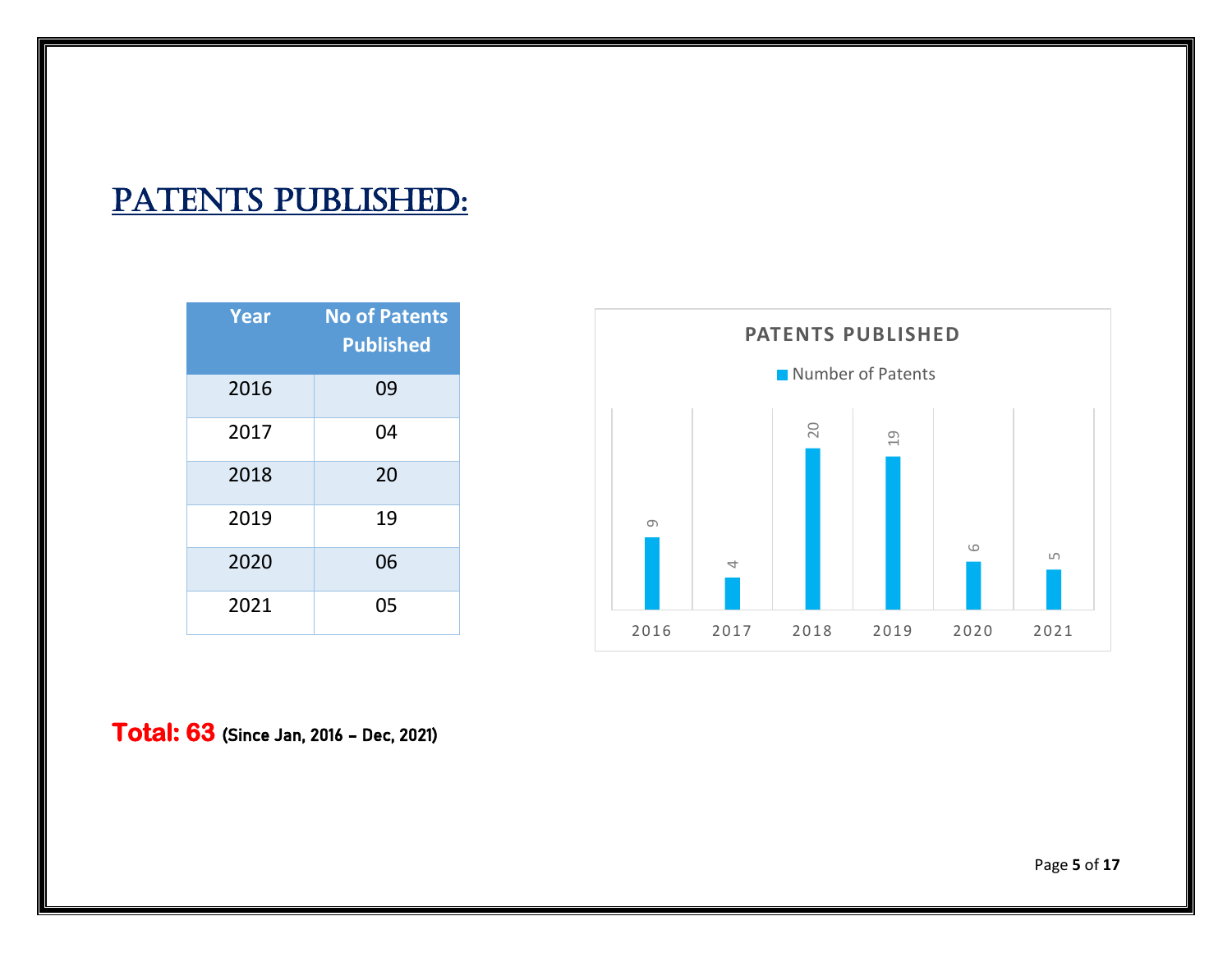## PATENTS PUBLISHED:

| Year | <b>No of Patents</b><br><b>Published</b> |
|------|------------------------------------------|
| 2016 | 09                                       |
| 2017 | 04                                       |
| 2018 | 20                                       |
| 2019 | 19                                       |
| 2020 | 06                                       |
| 2021 | 05                                       |



**Total**: **63** (Since Jan, 2016 – Dec, 2021)

Page **5** of **17**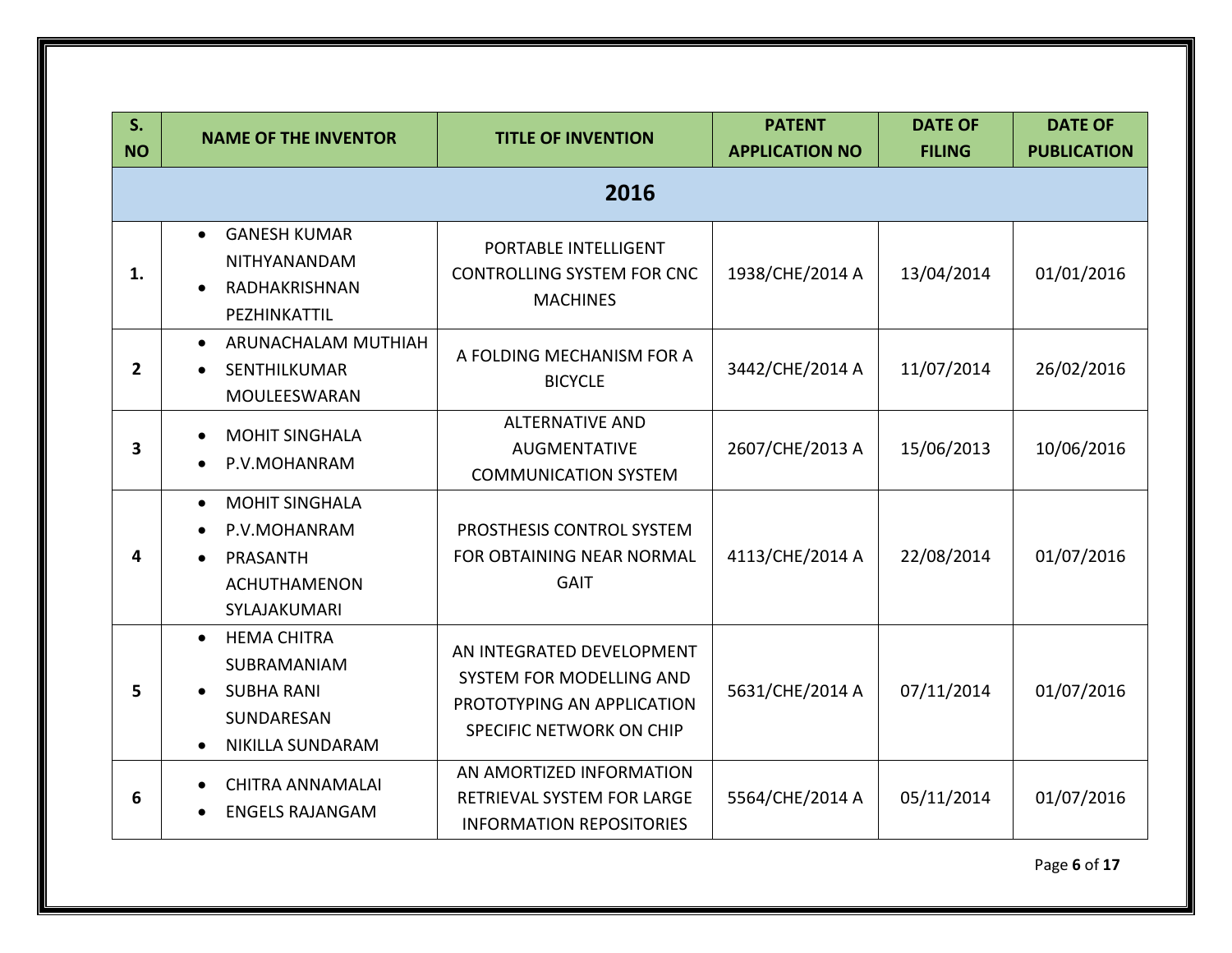| S.<br><b>NO</b>         | <b>NAME OF THE INVENTOR</b>                                                                                  | <b>TITLE OF INVENTION</b>                                                                                       | <b>PATENT</b><br><b>APPLICATION NO</b> | <b>DATE OF</b><br><b>FILING</b> | <b>DATE OF</b><br><b>PUBLICATION</b> |
|-------------------------|--------------------------------------------------------------------------------------------------------------|-----------------------------------------------------------------------------------------------------------------|----------------------------------------|---------------------------------|--------------------------------------|
|                         |                                                                                                              | 2016                                                                                                            |                                        |                                 |                                      |
| 1.                      | <b>GANESH KUMAR</b><br>$\bullet$<br>NITHYANANDAM<br>RADHAKRISHNAN<br>PEZHINKATTIL                            | PORTABLE INTELLIGENT<br>CONTROLLING SYSTEM FOR CNC<br><b>MACHINES</b>                                           | 1938/CHE/2014 A                        | 13/04/2014                      | 01/01/2016                           |
| $\mathbf{2}$            | ARUNACHALAM MUTHIAH<br>$\bullet$<br>SENTHILKUMAR<br>MOULEESWARAN                                             | A FOLDING MECHANISM FOR A<br><b>BICYCLE</b>                                                                     | 3442/CHE/2014 A                        | 11/07/2014                      | 26/02/2016                           |
| $\overline{\mathbf{3}}$ | <b>MOHIT SINGHALA</b><br>P.V.MOHANRAM                                                                        | <b>ALTERNATIVE AND</b><br><b>AUGMENTATIVE</b><br><b>COMMUNICATION SYSTEM</b>                                    | 2607/CHE/2013 A                        | 15/06/2013                      | 10/06/2016                           |
| 4                       | <b>MOHIT SINGHALA</b><br>$\bullet$<br>P.V.MOHANRAM<br>PRASANTH<br><b>ACHUTHAMENON</b><br>SYLAJAKUMARI        | PROSTHESIS CONTROL SYSTEM<br>FOR OBTAINING NEAR NORMAL<br><b>GAIT</b>                                           | 4113/CHE/2014 A                        | 22/08/2014                      | 01/07/2016                           |
| 5                       | <b>HEMA CHITRA</b><br>$\bullet$<br>SUBRAMANIAM<br><b>SUBHA RANI</b><br>SUNDARESAN<br><b>NIKILLA SUNDARAM</b> | AN INTEGRATED DEVELOPMENT<br>SYSTEM FOR MODELLING AND<br>PROTOTYPING AN APPLICATION<br>SPECIFIC NETWORK ON CHIP | 5631/CHE/2014 A                        | 07/11/2014                      | 01/07/2016                           |
| 6                       | <b>CHITRA ANNAMALAI</b><br><b>ENGELS RAJANGAM</b><br>$\bullet$                                               | AN AMORTIZED INFORMATION<br>RETRIEVAL SYSTEM FOR LARGE<br><b>INFORMATION REPOSITORIES</b>                       | 5564/CHE/2014 A                        | 05/11/2014                      | 01/07/2016                           |

Page **6** of **17**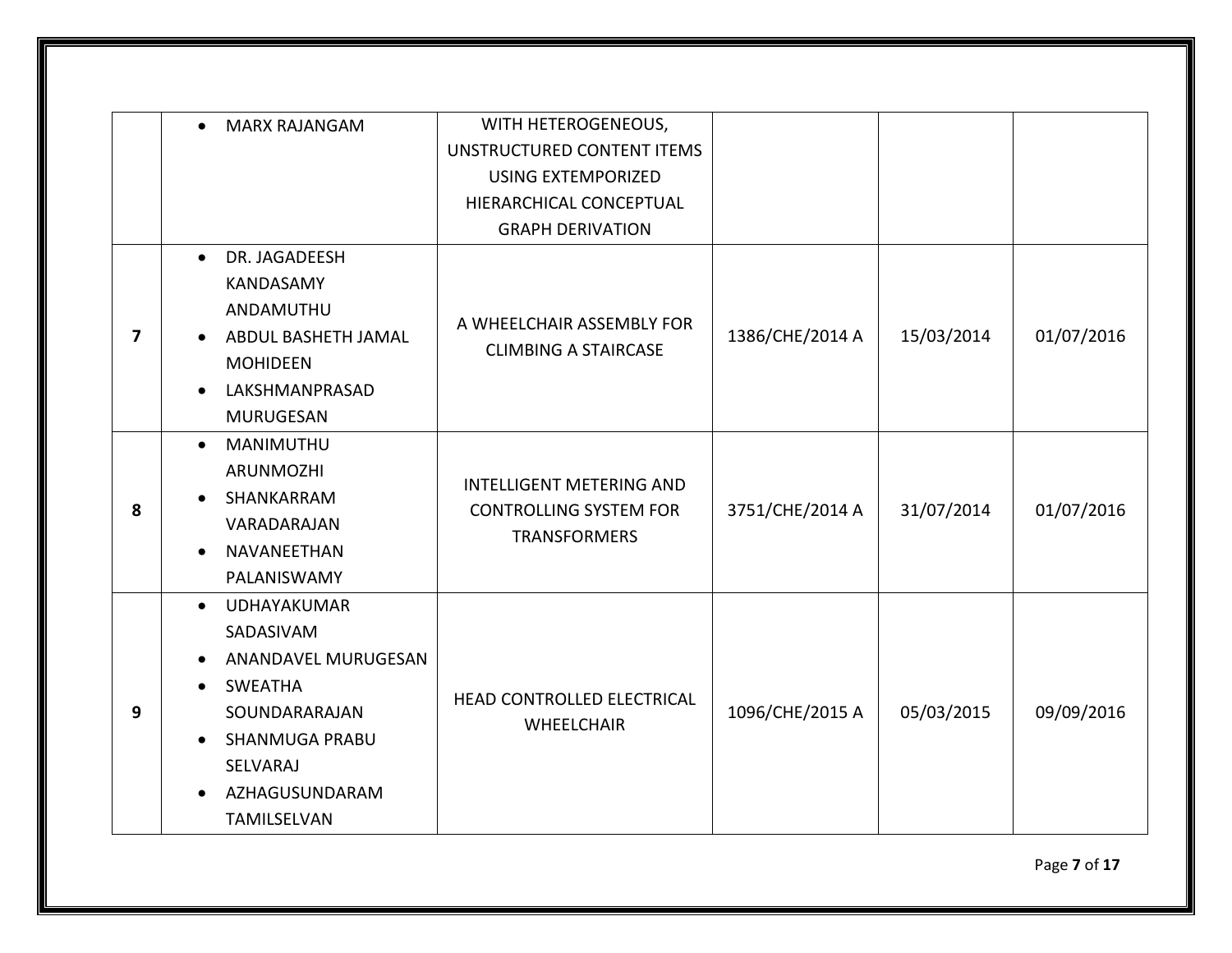|   | <b>MARX RAJANGAM</b><br>$\bullet$ | WITH HETEROGENEOUS,                                                                     |                 |            |            |
|---|-----------------------------------|-----------------------------------------------------------------------------------------|-----------------|------------|------------|
|   |                                   | UNSTRUCTURED CONTENT ITEMS                                                              |                 |            |            |
|   |                                   | <b>USING EXTEMPORIZED</b>                                                               |                 |            |            |
|   |                                   | HIERARCHICAL CONCEPTUAL                                                                 |                 |            |            |
|   |                                   | <b>GRAPH DERIVATION</b>                                                                 |                 |            |            |
|   | DR. JAGADEESH<br>$\bullet$        |                                                                                         |                 |            |            |
|   | <b>KANDASAMY</b>                  |                                                                                         |                 |            |            |
|   | ANDAMUTHU                         | A WHEELCHAIR ASSEMBLY FOR                                                               |                 |            |            |
| 7 | ABDUL BASHETH JAMAL               |                                                                                         | 1386/CHE/2014 A | 15/03/2014 | 01/07/2016 |
|   | <b>MOHIDEEN</b>                   | <b>CLIMBING A STAIRCASE</b>                                                             |                 |            |            |
|   | LAKSHMANPRASAD<br>$\bullet$       |                                                                                         |                 |            |            |
|   | <b>MURUGESAN</b>                  |                                                                                         |                 |            |            |
|   | MANIMUTHU<br>$\bullet$            | <b>INTELLIGENT METERING AND</b><br><b>CONTROLLING SYSTEM FOR</b><br><b>TRANSFORMERS</b> |                 |            |            |
|   | ARUNMOZHI                         |                                                                                         | 3751/CHE/2014 A | 31/07/2014 | 01/07/2016 |
| 8 | SHANKARRAM                        |                                                                                         |                 |            |            |
|   | VARADARAJAN                       |                                                                                         |                 |            |            |
|   | NAVANEETHAN<br>$\bullet$          |                                                                                         |                 |            |            |
|   | PALANISWAMY                       |                                                                                         |                 |            |            |
|   | UDHAYAKUMAR<br>$\bullet$          |                                                                                         |                 |            |            |
|   | SADASIVAM                         |                                                                                         |                 |            |            |
|   | ANANDAVEL MURUGESAN<br>$\bullet$  |                                                                                         |                 |            |            |
|   | <b>SWEATHA</b>                    | HEAD CONTROLLED ELECTRICAL                                                              |                 |            |            |
| 9 | SOUNDARARAJAN                     | <b>WHEELCHAIR</b>                                                                       | 1096/CHE/2015 A | 05/03/2015 | 09/09/2016 |
|   | SHANMUGA PRABU<br>$\bullet$       |                                                                                         |                 |            |            |
|   | SELVARAJ                          |                                                                                         |                 |            |            |
|   | AZHAGUSUNDARAM<br>$\bullet$       |                                                                                         |                 |            |            |
|   | TAMILSELVAN                       |                                                                                         |                 |            |            |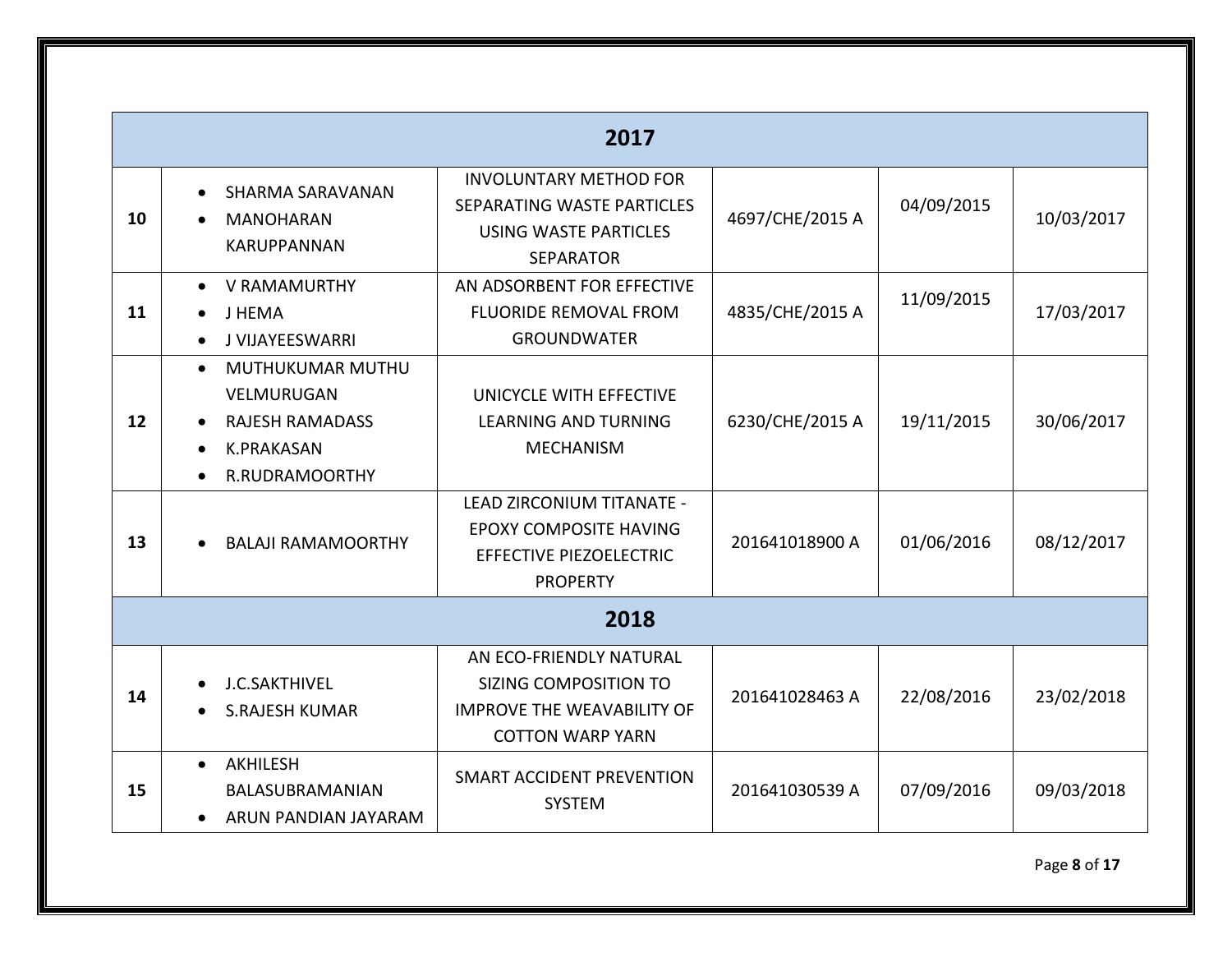|    |                                                                                                              | 2017                                                                                                             |                 |            |            |
|----|--------------------------------------------------------------------------------------------------------------|------------------------------------------------------------------------------------------------------------------|-----------------|------------|------------|
| 10 | SHARMA SARAVANAN<br>$\bullet$<br><b>MANOHARAN</b><br><b>KARUPPANNAN</b>                                      | <b>INVOLUNTARY METHOD FOR</b><br>SEPARATING WASTE PARTICLES<br><b>USING WASTE PARTICLES</b><br><b>SEPARATOR</b>  | 4697/CHE/2015 A | 04/09/2015 | 10/03/2017 |
| 11 | • V RAMAMURTHY<br>J HEMA<br>J VIJAYEESWARRI<br>$\bullet$                                                     | AN ADSORBENT FOR EFFECTIVE<br><b>FLUORIDE REMOVAL FROM</b><br><b>GROUNDWATER</b>                                 | 4835/CHE/2015 A | 11/09/2015 | 17/03/2017 |
| 12 | MUTHUKUMAR MUTHU<br>$\bullet$<br>VELMURUGAN<br><b>RAJESH RAMADASS</b><br><b>K.PRAKASAN</b><br>R.RUDRAMOORTHY | UNICYCLE WITH EFFECTIVE<br><b>LEARNING AND TURNING</b><br><b>MECHANISM</b>                                       | 6230/CHE/2015 A | 19/11/2015 | 30/06/2017 |
| 13 | <b>BALAJI RAMAMOORTHY</b>                                                                                    | LEAD ZIRCONIUM TITANATE -<br><b>EPOXY COMPOSITE HAVING</b><br>EFFECTIVE PIEZOELECTRIC<br><b>PROPERTY</b>         | 201641018900 A  | 01/06/2016 | 08/12/2017 |
|    |                                                                                                              | 2018                                                                                                             |                 |            |            |
| 14 | <b>J.C.SAKTHIVEL</b><br><b>S.RAJESH KUMAR</b>                                                                | AN ECO-FRIENDLY NATURAL<br>SIZING COMPOSITION TO<br><b>IMPROVE THE WEAVABILITY OF</b><br><b>COTTON WARP YARN</b> | 201641028463 A  | 22/08/2016 | 23/02/2018 |
| 15 | <b>AKHILESH</b><br>$\bullet$<br>BALASUBRAMANIAN<br>ARUN PANDIAN JAYARAM<br>$\bullet$                         | SMART ACCIDENT PREVENTION<br><b>SYSTEM</b>                                                                       | 201641030539 A  | 07/09/2016 | 09/03/2018 |

Page **8** of **17**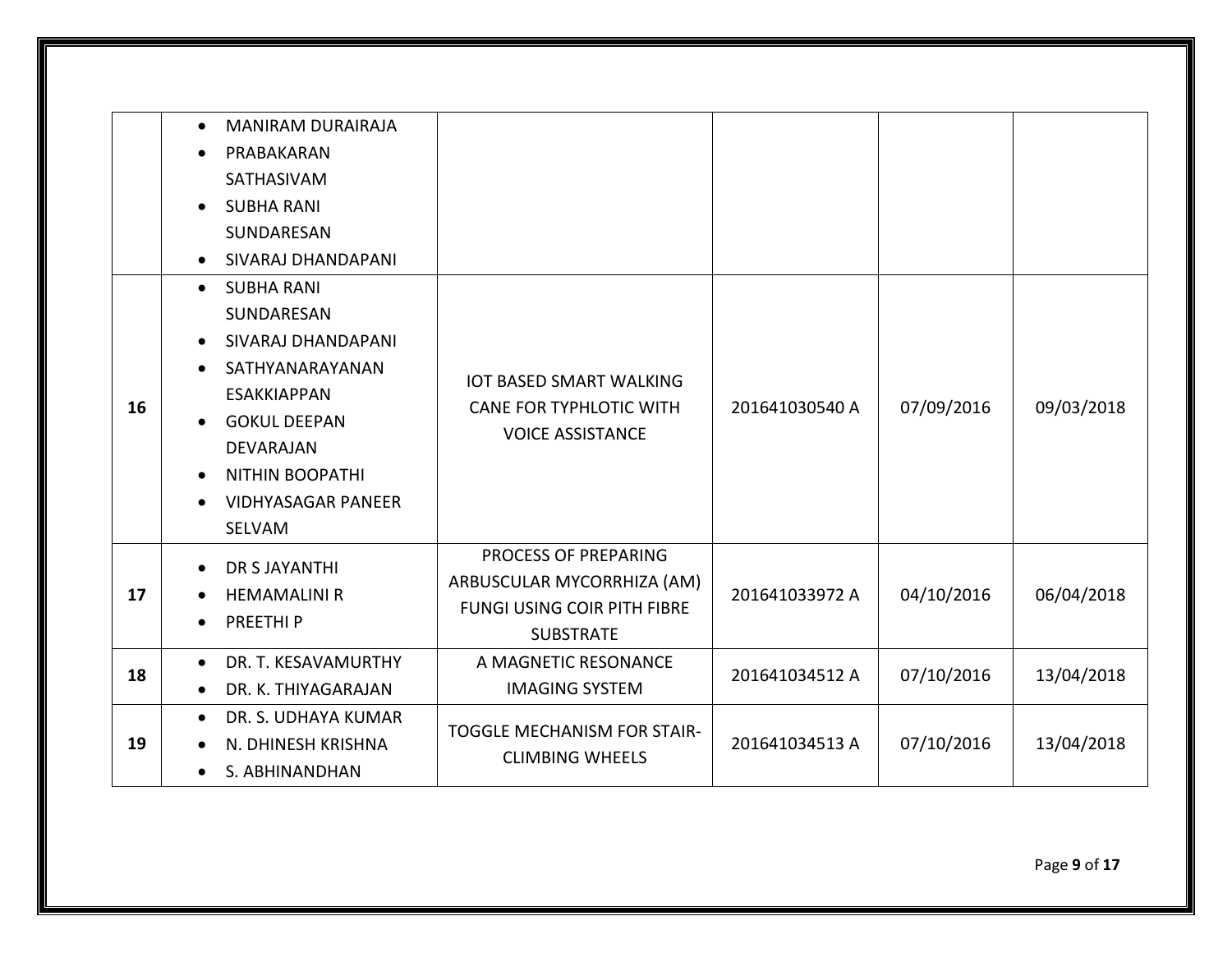|    | <b>MANIRAM DURAIRAJA</b><br>$\bullet$<br>PRABAKARAN<br>$\bullet$<br>SATHASIVAM<br><b>SUBHA RANI</b><br>$\bullet$<br>SUNDARESAN<br>SIVARAJ DHANDAPANI<br>$\bullet$                                                             |                                                                                                              |                |            |            |
|----|-------------------------------------------------------------------------------------------------------------------------------------------------------------------------------------------------------------------------------|--------------------------------------------------------------------------------------------------------------|----------------|------------|------------|
| 16 | <b>SUBHA RANI</b><br>$\bullet$<br>SUNDARESAN<br>SIVARAJ DHANDAPANI<br>$\bullet$<br>SATHYANARAYANAN<br><b>ESAKKIAPPAN</b><br><b>GOKUL DEEPAN</b><br>DEVARAJAN<br><b>NITHIN BOOPATHI</b><br><b>VIDHYASAGAR PANEER</b><br>SELVAM | <b>IOT BASED SMART WALKING</b><br><b>CANE FOR TYPHLOTIC WITH</b><br><b>VOICE ASSISTANCE</b>                  | 201641030540 A | 07/09/2016 | 09/03/2018 |
| 17 | <b>DR S JAYANTHI</b><br>$\bullet$<br><b>HEMAMALINI R</b><br>PREETHI <sub>P</sub><br>$\bullet$                                                                                                                                 | PROCESS OF PREPARING<br>ARBUSCULAR MYCORRHIZA (AM)<br><b>FUNGI USING COIR PITH FIBRE</b><br><b>SUBSTRATE</b> | 201641033972 A | 04/10/2016 | 06/04/2018 |
| 18 | DR. T. KESAVAMURTHY<br>$\bullet$<br>DR. K. THIYAGARAJAN<br>$\bullet$                                                                                                                                                          | A MAGNETIC RESONANCE<br><b>IMAGING SYSTEM</b>                                                                | 201641034512 A | 07/10/2016 | 13/04/2018 |
| 19 | DR. S. UDHAYA KUMAR<br>$\bullet$<br>N. DHINESH KRISHNA<br>S. ABHINANDHAN                                                                                                                                                      | <b>TOGGLE MECHANISM FOR STAIR-</b><br><b>CLIMBING WHEELS</b>                                                 | 201641034513 A | 07/10/2016 | 13/04/2018 |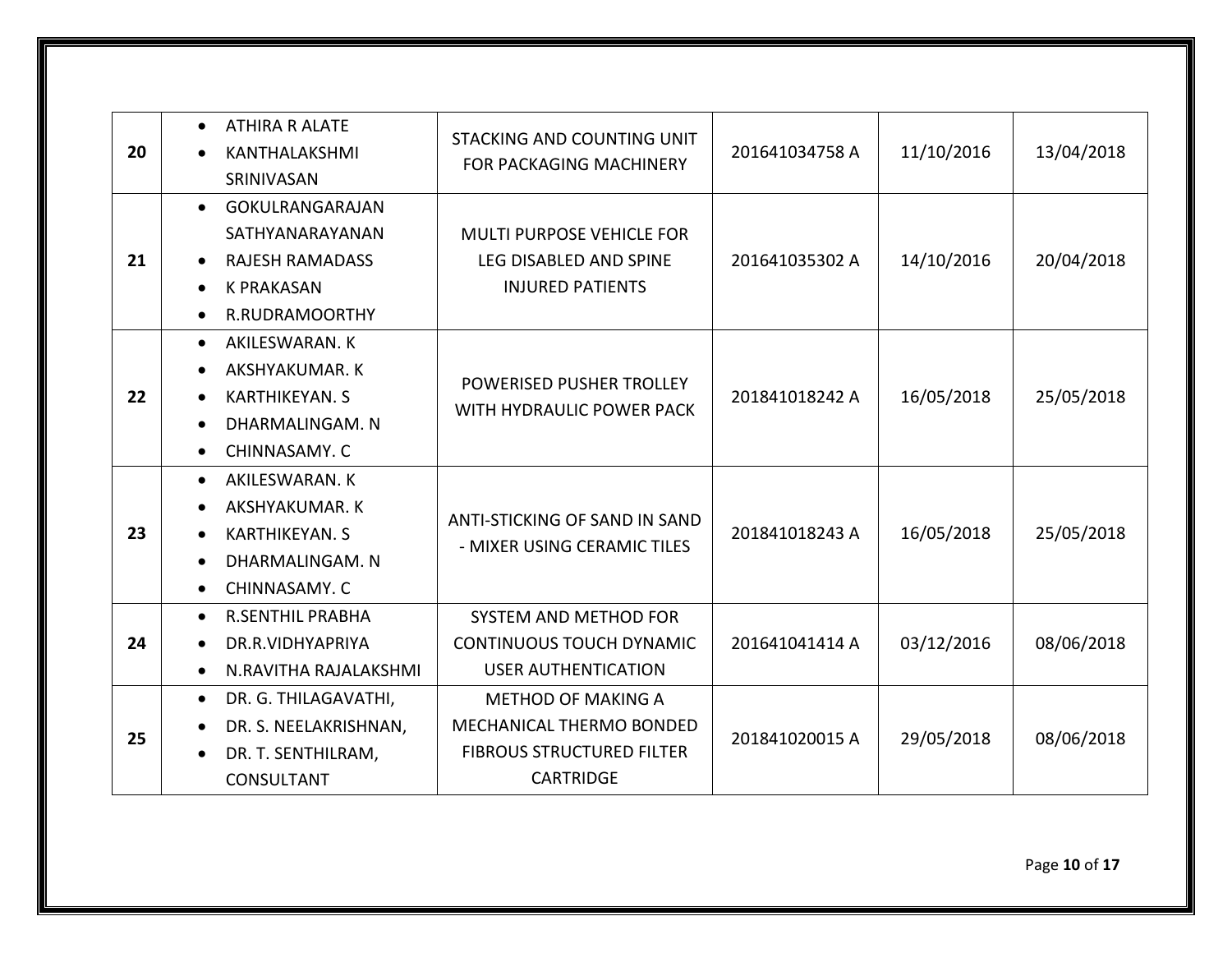| 20 | <b>ATHIRA R ALATE</b><br>$\bullet$<br>KANTHALAKSHMI<br>SRINIVASAN                                                                                              | STACKING AND COUNTING UNIT<br><b>FOR PACKAGING MACHINERY</b>                                                  | 201641034758 A | 11/10/2016 | 13/04/2018 |
|----|----------------------------------------------------------------------------------------------------------------------------------------------------------------|---------------------------------------------------------------------------------------------------------------|----------------|------------|------------|
| 21 | GOKULRANGARAJAN<br>$\bullet$<br>SATHYANARAYANAN<br><b>RAJESH RAMADASS</b><br><b>K PRAKASAN</b><br>R.RUDRAMOORTHY<br>$\bullet$                                  | <b>MULTI PURPOSE VEHICLE FOR</b><br>LEG DISABLED AND SPINE<br><b>INJURED PATIENTS</b>                         | 201641035302 A | 14/10/2016 | 20/04/2018 |
| 22 | AKILESWARAN. K<br>$\bullet$<br>AKSHYAKUMAR. K<br>$\bullet$<br><b>KARTHIKEYAN. S</b><br>$\bullet$<br>DHARMALINGAM. N<br>$\bullet$<br>CHINNASAMY. C<br>$\bullet$ | POWERISED PUSHER TROLLEY<br>WITH HYDRAULIC POWER PACK                                                         | 201841018242 A | 16/05/2018 | 25/05/2018 |
| 23 | AKILESWARAN. K<br>$\bullet$<br>AKSHYAKUMAR. K<br><b>KARTHIKEYAN, S</b><br>$\bullet$<br>DHARMALINGAM. N<br>CHINNASAMY. C<br>$\bullet$                           | ANTI-STICKING OF SAND IN SAND<br>- MIXER USING CERAMIC TILES                                                  | 201841018243 A | 16/05/2018 | 25/05/2018 |
| 24 | <b>R.SENTHIL PRABHA</b><br>$\bullet$<br>DR.R.VIDHYAPRIYA<br>N.RAVITHA RAJALAKSHMI<br>$\bullet$                                                                 | SYSTEM AND METHOD FOR<br><b>CONTINUOUS TOUCH DYNAMIC</b><br><b>USER AUTHENTICATION</b>                        | 201641041414 A | 03/12/2016 | 08/06/2018 |
| 25 | DR. G. THILAGAVATHI,<br>$\bullet$<br>DR. S. NEELAKRISHNAN,<br>DR. T. SENTHILRAM,<br>CONSULTANT                                                                 | <b>METHOD OF MAKING A</b><br>MECHANICAL THERMO BONDED<br><b>FIBROUS STRUCTURED FILTER</b><br><b>CARTRIDGE</b> | 201841020015 A | 29/05/2018 | 08/06/2018 |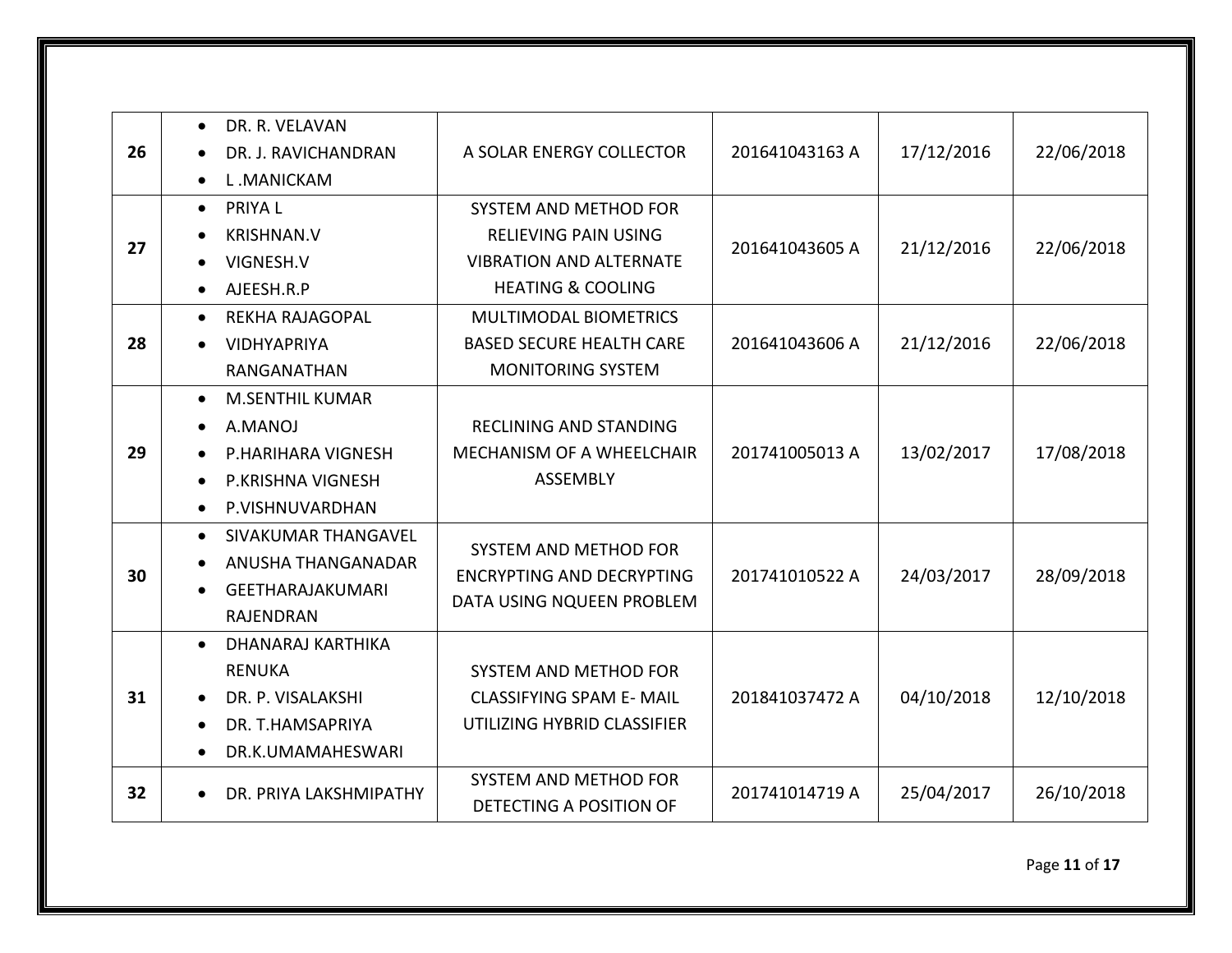| 26 | DR. R. VELAVAN<br>$\bullet$<br>DR. J. RAVICHANDRAN<br>L.MANICKAM<br>$\bullet$                                                                 | A SOLAR ENERGY COLLECTOR                                                                                               | 201641043163 A | 17/12/2016 | 22/06/2018 |
|----|-----------------------------------------------------------------------------------------------------------------------------------------------|------------------------------------------------------------------------------------------------------------------------|----------------|------------|------------|
| 27 | <b>PRIYAL</b><br>$\bullet$<br><b>KRISHNAN.V</b><br>VIGNESH.V<br>AJEESH.R.P                                                                    | SYSTEM AND METHOD FOR<br><b>RELIEVING PAIN USING</b><br><b>VIBRATION AND ALTERNATE</b><br><b>HEATING &amp; COOLING</b> | 201641043605 A | 21/12/2016 | 22/06/2018 |
| 28 | <b>REKHA RAJAGOPAL</b><br>$\bullet$<br><b>VIDHYAPRIYA</b><br>RANGANATHAN                                                                      | MULTIMODAL BIOMETRICS<br><b>BASED SECURE HEALTH CARE</b><br><b>MONITORING SYSTEM</b>                                   | 201641043606 A | 21/12/2016 | 22/06/2018 |
| 29 | <b>M.SENTHIL KUMAR</b><br>$\bullet$<br>A.MANOJ<br>$\bullet$<br><b>P.HARIHARA VIGNESH</b><br>P.KRISHNA VIGNESH<br>$\bullet$<br>P.VISHNUVARDHAN | <b>RECLINING AND STANDING</b><br>MECHANISM OF A WHEELCHAIR<br><b>ASSEMBLY</b>                                          | 201741005013 A | 13/02/2017 | 17/08/2018 |
| 30 | SIVAKUMAR THANGAVEL<br>$\bullet$<br>ANUSHA THANGANADAR<br>GEETHARAJAKUMARI<br>$\bullet$<br><b>RAJENDRAN</b>                                   | SYSTEM AND METHOD FOR<br><b>ENCRYPTING AND DECRYPTING</b><br>DATA USING NQUEEN PROBLEM                                 | 201741010522 A | 24/03/2017 | 28/09/2018 |
| 31 | DHANARAJ KARTHIKA<br>$\bullet$<br><b>RENUKA</b><br>DR. P. VISALAKSHI<br>DR. T.HAMSAPRIYA<br>$\bullet$<br>DR.K.UMAMAHESWARI<br>$\bullet$       | SYSTEM AND METHOD FOR<br><b>CLASSIFYING SPAM E- MAIL</b><br>UTILIZING HYBRID CLASSIFIER                                | 201841037472 A | 04/10/2018 | 12/10/2018 |
| 32 | DR. PRIYA LAKSHMIPATHY<br>$\bullet$                                                                                                           | SYSTEM AND METHOD FOR<br>DETECTING A POSITION OF                                                                       | 201741014719 A | 25/04/2017 | 26/10/2018 |

Page **11** of **17**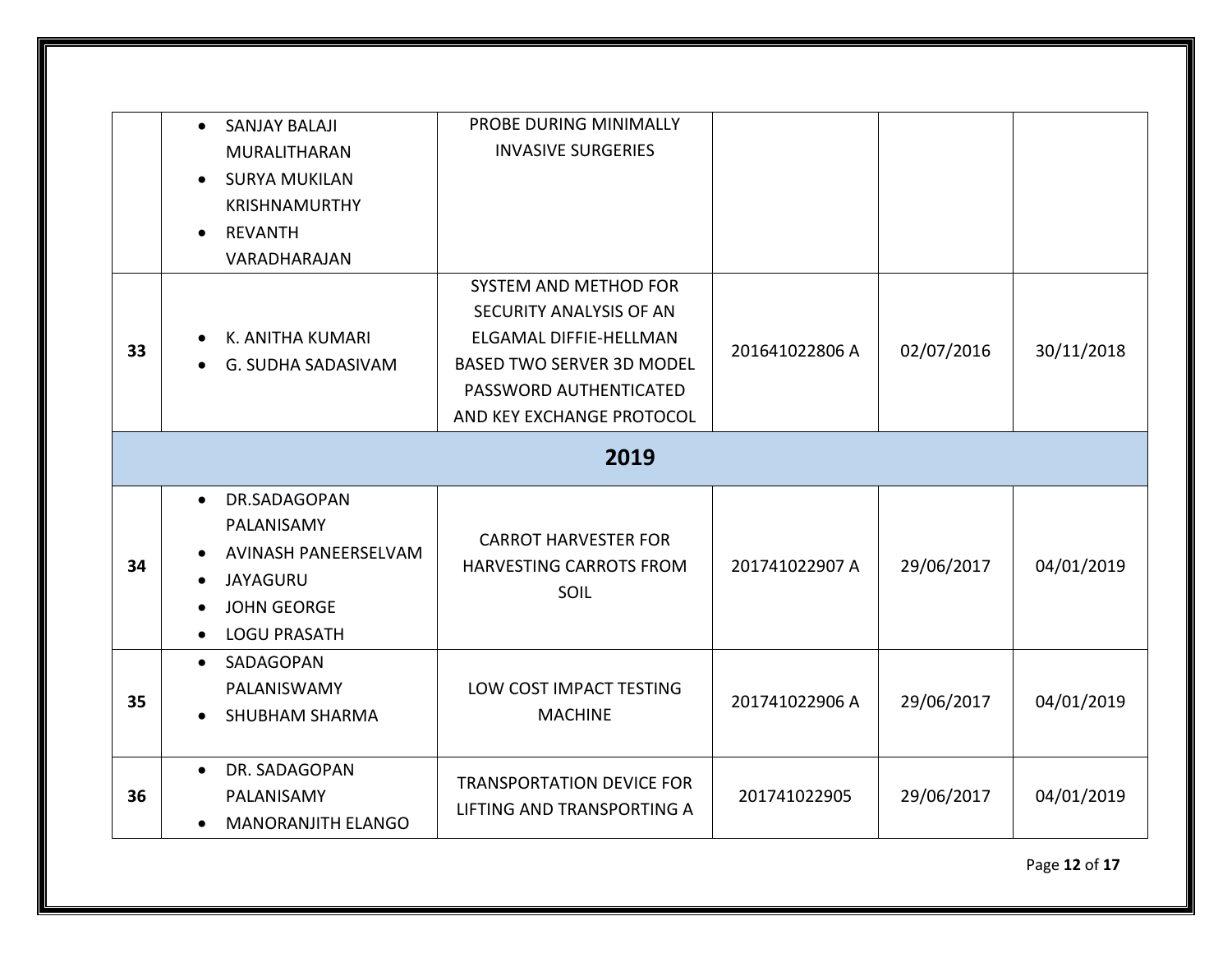|    | <b>SANJAY BALAJI</b><br>$\bullet$<br>MURALITHARAN<br><b>SURYA MUKILAN</b><br>$\bullet$<br><b>KRISHNAMURTHY</b><br><b>REVANTH</b><br>$\bullet$<br>VARADHARAJAN | PROBE DURING MINIMALLY<br><b>INVASIVE SURGERIES</b>                                                                                                                   |                |            |            |
|----|---------------------------------------------------------------------------------------------------------------------------------------------------------------|-----------------------------------------------------------------------------------------------------------------------------------------------------------------------|----------------|------------|------------|
| 33 | K. ANITHA KUMARI<br>G. SUDHA SADASIVAM                                                                                                                        | SYSTEM AND METHOD FOR<br>SECURITY ANALYSIS OF AN<br>ELGAMAL DIFFIE-HELLMAN<br><b>BASED TWO SERVER 3D MODEL</b><br>PASSWORD AUTHENTICATED<br>AND KEY EXCHANGE PROTOCOL | 201641022806 A | 02/07/2016 | 30/11/2018 |
|    |                                                                                                                                                               | 2019                                                                                                                                                                  |                |            |            |
| 34 | DR.SADAGOPAN<br>$\bullet$<br>PALANISAMY<br>AVINASH PANEERSELVAM<br><b>JAYAGURU</b><br><b>JOHN GEORGE</b><br><b>LOGU PRASATH</b><br>$\bullet$                  | <b>CARROT HARVESTER FOR</b><br>HARVESTING CARROTS FROM<br>SOIL                                                                                                        | 201741022907 A | 29/06/2017 | 04/01/2019 |
| 35 | SADAGOPAN<br>$\bullet$<br>PALANISWAMY<br><b>SHUBHAM SHARMA</b><br>$\bullet$                                                                                   | LOW COST IMPACT TESTING<br><b>MACHINE</b>                                                                                                                             | 201741022906 A | 29/06/2017 | 04/01/2019 |
| 36 | DR. SADAGOPAN<br>PALANISAMY                                                                                                                                   | <b>TRANSPORTATION DEVICE FOR</b><br>LIFTING AND TRANSPORTING A                                                                                                        | 201741022905   | 29/06/2017 | 04/01/2019 |

Page **12** of **17**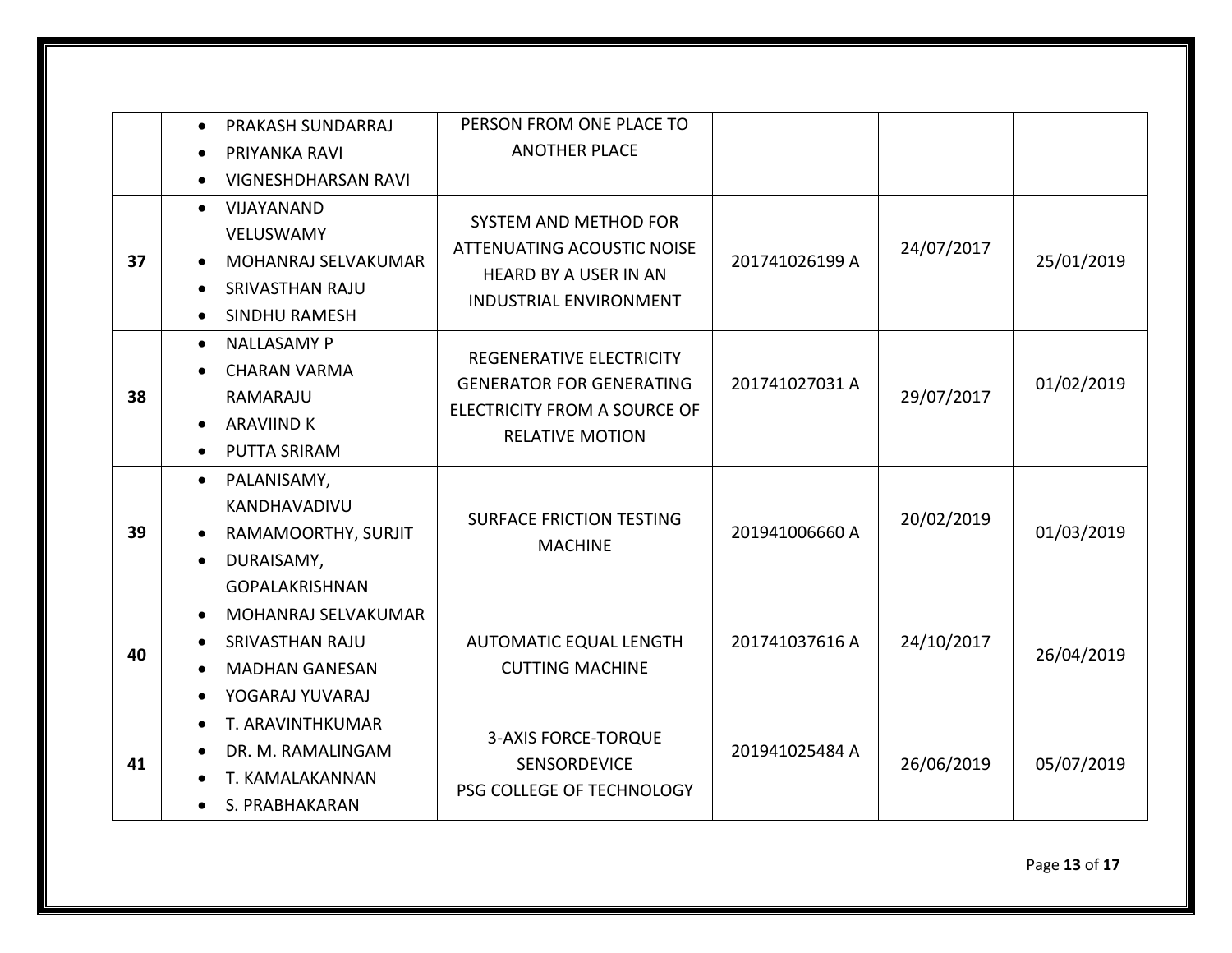|    | PRAKASH SUNDARRAJ<br>$\bullet$                                                                                              | PERSON FROM ONE PLACE TO                                                                                                    |                |            |            |
|----|-----------------------------------------------------------------------------------------------------------------------------|-----------------------------------------------------------------------------------------------------------------------------|----------------|------------|------------|
|    | PRIYANKA RAVI                                                                                                               | <b>ANOTHER PLACE</b>                                                                                                        |                |            |            |
|    | <b>VIGNESHDHARSAN RAVI</b>                                                                                                  |                                                                                                                             |                |            |            |
| 37 | VIJAYANAND<br>$\bullet$<br>VELUSWAMY<br>MOHANRAJ SELVAKUMAR<br><b>SRIVASTHAN RAJU</b><br><b>SINDHU RAMESH</b><br>$\bullet$  | SYSTEM AND METHOD FOR<br><b>ATTENUATING ACOUSTIC NOISE</b><br><b>HEARD BY A USER IN AN</b><br><b>INDUSTRIAL ENVIRONMENT</b> | 201741026199 A | 24/07/2017 | 25/01/2019 |
| 38 | <b>NALLASAMY P</b><br>$\bullet$<br><b>CHARAN VARMA</b><br>RAMARAJU<br><b>ARAVIIND K</b><br><b>PUTTA SRIRAM</b><br>$\bullet$ | REGENERATIVE ELECTRICITY<br><b>GENERATOR FOR GENERATING</b><br>ELECTRICITY FROM A SOURCE OF<br><b>RELATIVE MOTION</b>       | 201741027031 A | 29/07/2017 | 01/02/2019 |
| 39 | PALANISAMY,<br>$\bullet$<br>KANDHAVADIVU<br>RAMAMOORTHY, SURJIT<br>DURAISAMY,<br>$\bullet$<br><b>GOPALAKRISHNAN</b>         | <b>SURFACE FRICTION TESTING</b><br><b>MACHINE</b>                                                                           | 201941006660 A | 20/02/2019 | 01/03/2019 |
| 40 | MOHANRAJ SELVAKUMAR<br>$\bullet$<br><b>SRIVASTHAN RAJU</b><br><b>MADHAN GANESAN</b><br>YOGARAJ YUVARAJ<br>$\bullet$         | <b>AUTOMATIC EQUAL LENGTH</b><br><b>CUTTING MACHINE</b>                                                                     | 201741037616 A | 24/10/2017 | 26/04/2019 |
| 41 | T. ARAVINTHKUMAR<br>$\bullet$<br>DR. M. RAMALINGAM<br>T. KAMALAKANNAN<br>S. PRABHAKARAN                                     | <b>3-AXIS FORCE-TORQUE</b><br><b>SENSORDEVICE</b><br>PSG COLLEGE OF TECHNOLOGY                                              | 201941025484 A | 26/06/2019 | 05/07/2019 |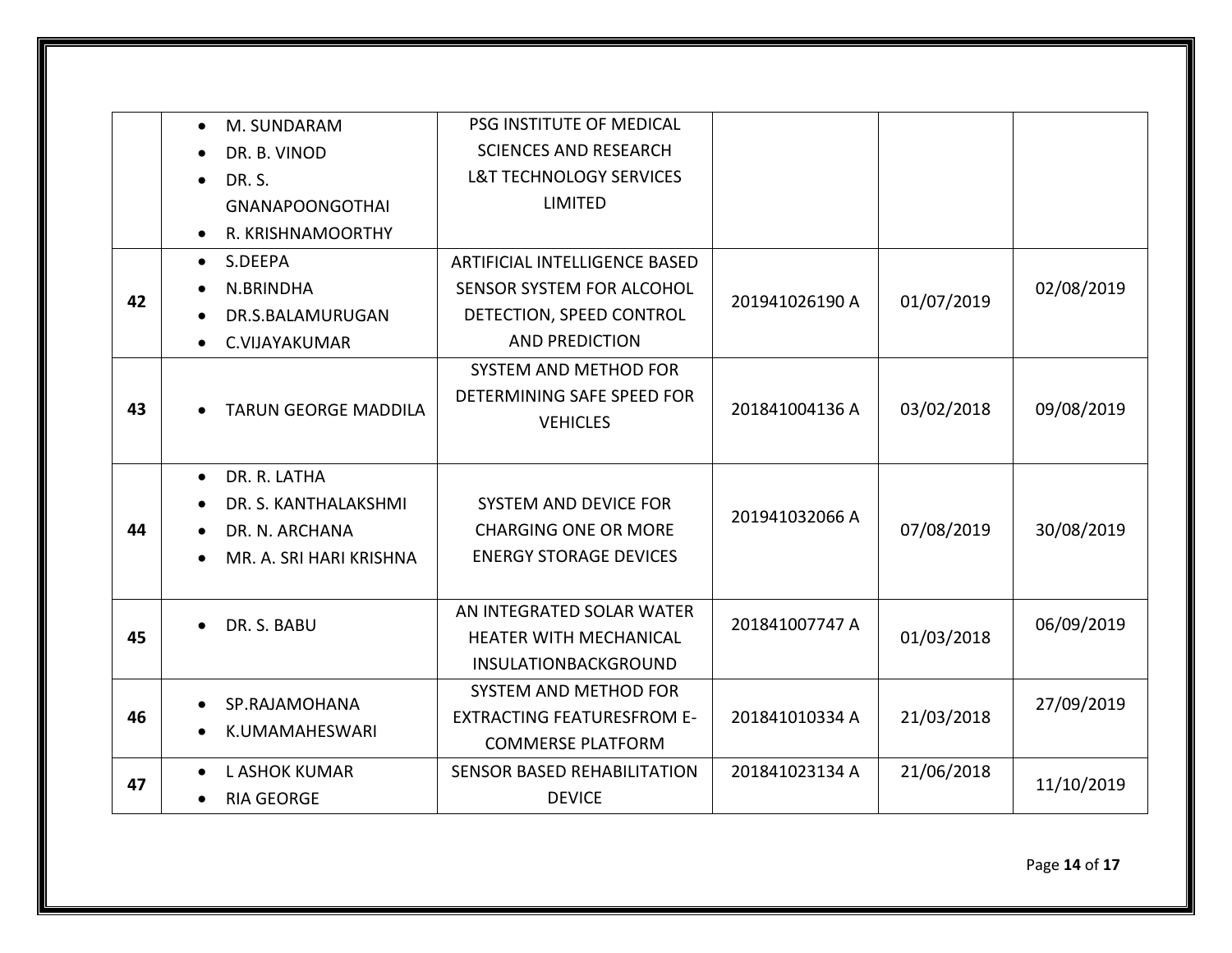|    | M. SUNDARAM<br>$\bullet$                                                                                    | PSG INSTITUTE OF MEDICAL                                                                      |                |            |            |
|----|-------------------------------------------------------------------------------------------------------------|-----------------------------------------------------------------------------------------------|----------------|------------|------------|
|    | DR. B. VINOD                                                                                                | <b>SCIENCES AND RESEARCH</b>                                                                  |                |            |            |
|    | DR. S.<br>$\bullet$                                                                                         | <b>L&amp;T TECHNOLOGY SERVICES</b>                                                            |                |            |            |
|    | <b>GNANAPOONGOTHAI</b>                                                                                      | LIMITED                                                                                       |                |            |            |
|    | R. KRISHNAMOORTHY<br>$\bullet$                                                                              |                                                                                               |                |            |            |
|    | $\bullet$ S.DEEPA                                                                                           | ARTIFICIAL INTELLIGENCE BASED                                                                 | 201941026190 A | 01/07/2019 | 02/08/2019 |
| 42 | N.BRINDHA                                                                                                   | SENSOR SYSTEM FOR ALCOHOL                                                                     |                |            |            |
|    | DR.S.BALAMURUGAN<br>$\bullet$                                                                               | DETECTION, SPEED CONTROL                                                                      |                |            |            |
|    | C.VIJAYAKUMAR                                                                                               | <b>AND PREDICTION</b>                                                                         |                |            |            |
| 43 | <b>TARUN GEORGE MADDILA</b><br>$\bullet$                                                                    | <b>SYSTEM AND METHOD FOR</b><br>DETERMINING SAFE SPEED FOR<br><b>VEHICLES</b>                 | 201841004136 A | 03/02/2018 | 09/08/2019 |
| 44 | DR. R. LATHA<br>$\bullet$<br>DR. S. KANTHALAKSHMI<br>DR. N. ARCHANA<br>MR. A. SRI HARI KRISHNA<br>$\bullet$ | SYSTEM AND DEVICE FOR<br><b>CHARGING ONE OR MORE</b><br><b>ENERGY STORAGE DEVICES</b>         | 201941032066 A | 07/08/2019 | 30/08/2019 |
| 45 | DR. S. BABU<br>$\bullet$                                                                                    | AN INTEGRATED SOLAR WATER<br><b>HEATER WITH MECHANICAL</b><br>INSULATIONBACKGROUND            | 201841007747 A | 01/03/2018 | 06/09/2019 |
| 46 | SP.RAJAMOHANA<br>K.UMAMAHESWARI                                                                             | <b>SYSTEM AND METHOD FOR</b><br><b>EXTRACTING FEATURESFROM E-</b><br><b>COMMERSE PLATFORM</b> | 201841010334 A | 21/03/2018 | 27/09/2019 |
| 47 | <b>L ASHOK KUMAR</b><br>$\bullet$<br><b>RIA GEORGE</b>                                                      | SENSOR BASED REHABILITATION<br><b>DEVICE</b>                                                  | 201841023134 A | 21/06/2018 | 11/10/2019 |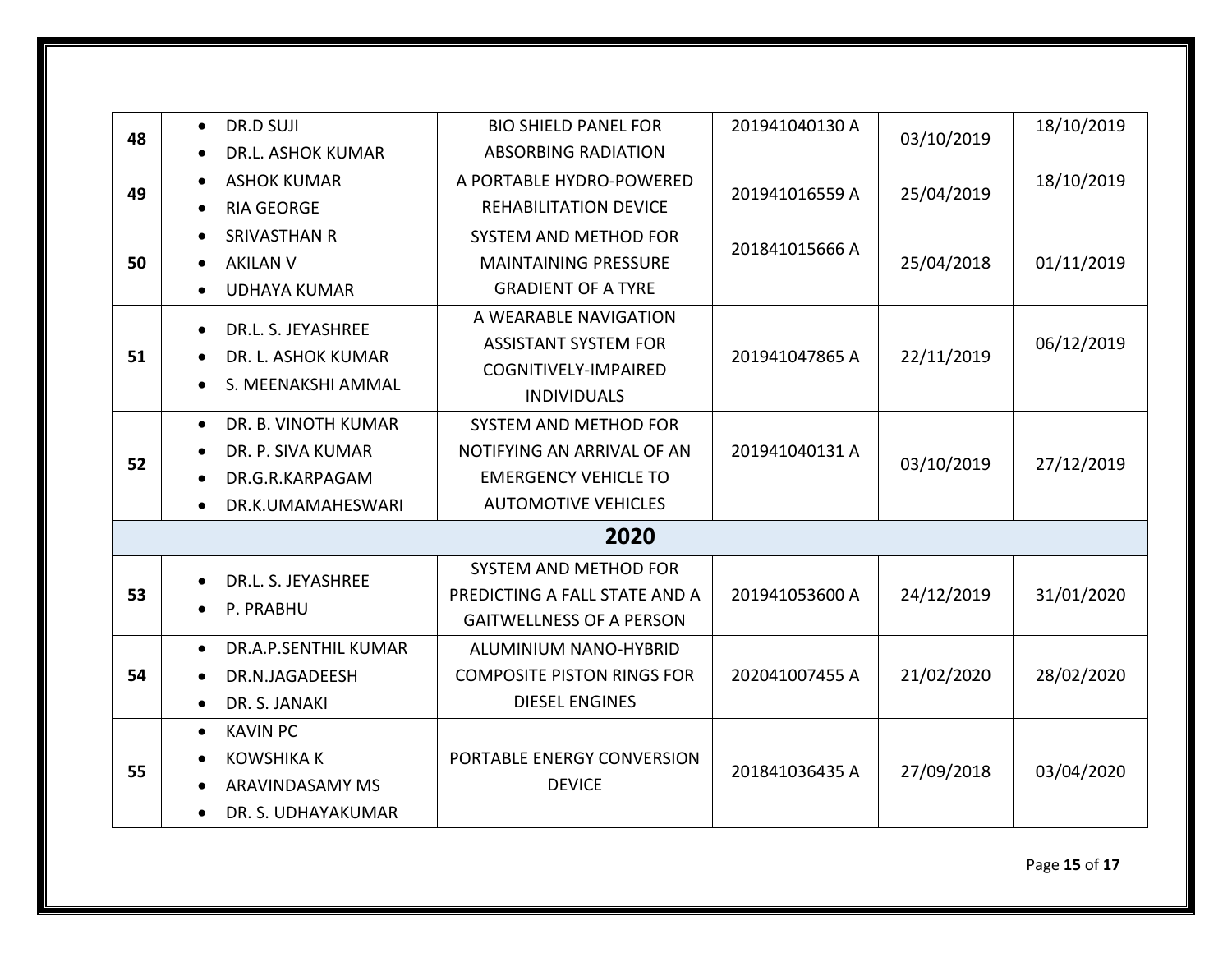| 03/10/2019<br>48<br><b>ABSORBING RADIATION</b><br><b>DR.L. ASHOK KUMAR</b><br>18/10/2019<br>A PORTABLE HYDRO-POWERED<br><b>ASHOK KUMAR</b><br>$\bullet$<br>49<br>25/04/2019<br>201941016559 A<br><b>RIA GEORGE</b><br><b>REHABILITATION DEVICE</b><br>$\bullet$<br><b>SRIVASTHAN R</b><br><b>SYSTEM AND METHOD FOR</b><br>$\bullet$<br>201841015666 A<br>25/04/2018<br>01/11/2019<br>50<br><b>MAINTAINING PRESSURE</b><br><b>AKILAN V</b><br><b>GRADIENT OF A TYRE</b><br><b>UDHAYA KUMAR</b><br>A WEARABLE NAVIGATION<br>DR.L. S. JEYASHREE |  |  |  |  |  |  |
|----------------------------------------------------------------------------------------------------------------------------------------------------------------------------------------------------------------------------------------------------------------------------------------------------------------------------------------------------------------------------------------------------------------------------------------------------------------------------------------------------------------------------------------------|--|--|--|--|--|--|
|                                                                                                                                                                                                                                                                                                                                                                                                                                                                                                                                              |  |  |  |  |  |  |
|                                                                                                                                                                                                                                                                                                                                                                                                                                                                                                                                              |  |  |  |  |  |  |
|                                                                                                                                                                                                                                                                                                                                                                                                                                                                                                                                              |  |  |  |  |  |  |
|                                                                                                                                                                                                                                                                                                                                                                                                                                                                                                                                              |  |  |  |  |  |  |
|                                                                                                                                                                                                                                                                                                                                                                                                                                                                                                                                              |  |  |  |  |  |  |
|                                                                                                                                                                                                                                                                                                                                                                                                                                                                                                                                              |  |  |  |  |  |  |
|                                                                                                                                                                                                                                                                                                                                                                                                                                                                                                                                              |  |  |  |  |  |  |
| 06/12/2019<br><b>ASSISTANT SYSTEM FOR</b><br>51<br>22/11/2019<br>DR. L. ASHOK KUMAR<br>201941047865 A                                                                                                                                                                                                                                                                                                                                                                                                                                        |  |  |  |  |  |  |
| <b>COGNITIVELY-IMPAIRED</b><br>S. MEENAKSHI AMMAL<br>$\bullet$                                                                                                                                                                                                                                                                                                                                                                                                                                                                               |  |  |  |  |  |  |
| <b>INDIVIDUALS</b>                                                                                                                                                                                                                                                                                                                                                                                                                                                                                                                           |  |  |  |  |  |  |
| DR. B. VINOTH KUMAR<br><b>SYSTEM AND METHOD FOR</b><br>$\bullet$                                                                                                                                                                                                                                                                                                                                                                                                                                                                             |  |  |  |  |  |  |
| 201941040131 A<br>DR. P. SIVA KUMAR<br>NOTIFYING AN ARRIVAL OF AN<br>52<br>03/10/2019<br>27/12/2019                                                                                                                                                                                                                                                                                                                                                                                                                                          |  |  |  |  |  |  |
| <b>EMERGENCY VEHICLE TO</b><br>DR.G.R.KARPAGAM                                                                                                                                                                                                                                                                                                                                                                                                                                                                                               |  |  |  |  |  |  |
| <b>AUTOMOTIVE VEHICLES</b><br>DR.K.UMAMAHESWARI<br>$\bullet$                                                                                                                                                                                                                                                                                                                                                                                                                                                                                 |  |  |  |  |  |  |
| 2020                                                                                                                                                                                                                                                                                                                                                                                                                                                                                                                                         |  |  |  |  |  |  |
| <b>SYSTEM AND METHOD FOR</b><br>DR.L. S. JEYASHREE                                                                                                                                                                                                                                                                                                                                                                                                                                                                                           |  |  |  |  |  |  |
| 53<br>24/12/2019<br>31/01/2020<br>PREDICTING A FALL STATE AND A<br>201941053600 A<br>P. PRABHU                                                                                                                                                                                                                                                                                                                                                                                                                                               |  |  |  |  |  |  |
| <b>GAITWELLNESS OF A PERSON</b>                                                                                                                                                                                                                                                                                                                                                                                                                                                                                                              |  |  |  |  |  |  |
| <b>DR.A.P.SENTHIL KUMAR</b><br>ALUMINIUM NANO-HYBRID<br>$\bullet$                                                                                                                                                                                                                                                                                                                                                                                                                                                                            |  |  |  |  |  |  |
| 54<br>202041007455 A<br>21/02/2020<br>28/02/2020<br><b>COMPOSITE PISTON RINGS FOR</b><br>DR.N.JAGADEESH                                                                                                                                                                                                                                                                                                                                                                                                                                      |  |  |  |  |  |  |
| <b>DIESEL ENGINES</b><br>DR. S. JANAKI<br>$\bullet$                                                                                                                                                                                                                                                                                                                                                                                                                                                                                          |  |  |  |  |  |  |
| <b>KAVIN PC</b><br>$\bullet$                                                                                                                                                                                                                                                                                                                                                                                                                                                                                                                 |  |  |  |  |  |  |
| <b>KOWSHIKA K</b><br>PORTABLE ENERGY CONVERSION<br>55<br>201841036435 A<br>27/09/2018<br>03/04/2020                                                                                                                                                                                                                                                                                                                                                                                                                                          |  |  |  |  |  |  |
| <b>DEVICE</b><br>ARAVINDASAMY MS                                                                                                                                                                                                                                                                                                                                                                                                                                                                                                             |  |  |  |  |  |  |
| DR. S. UDHAYAKUMAR                                                                                                                                                                                                                                                                                                                                                                                                                                                                                                                           |  |  |  |  |  |  |

Page **15** of **17**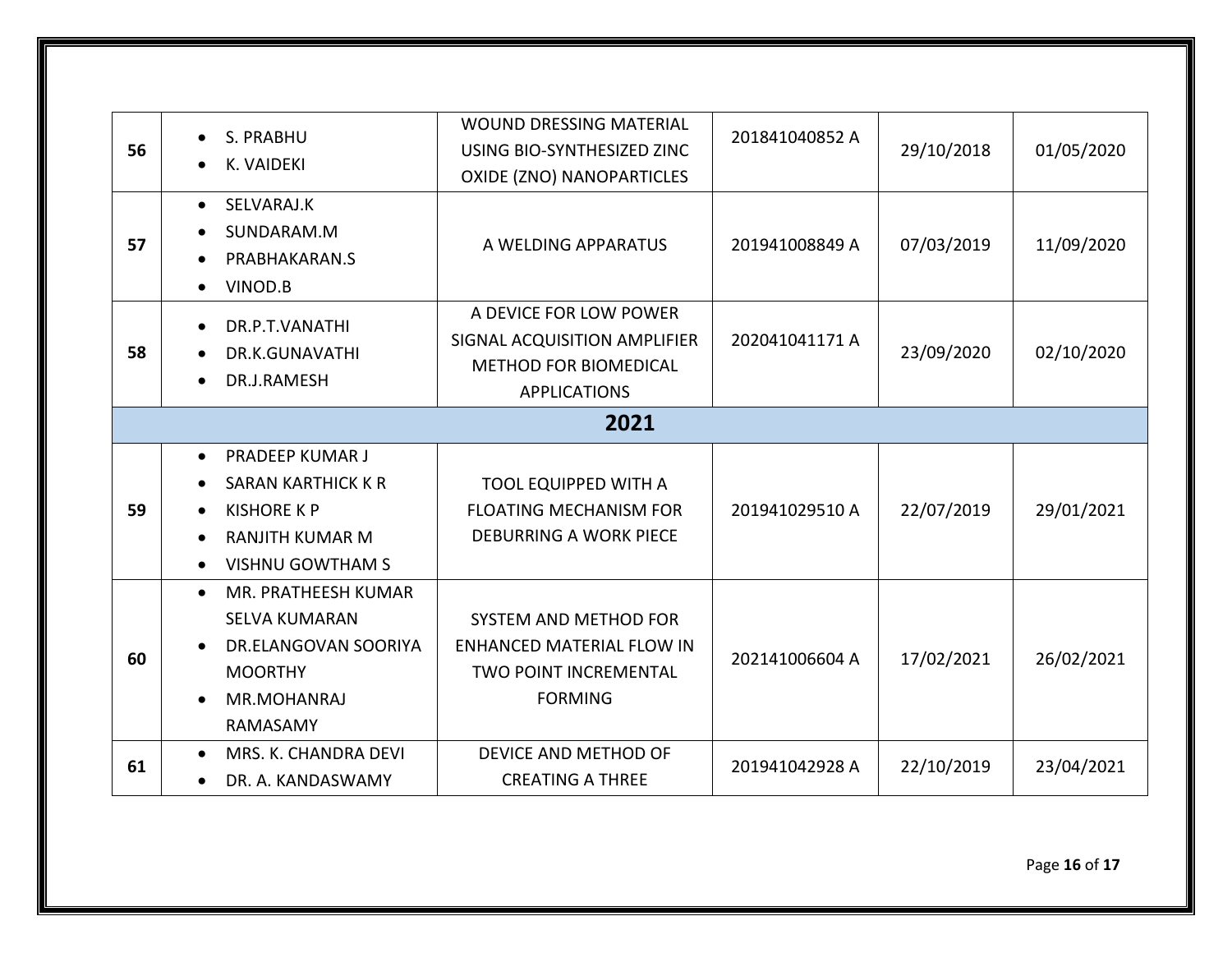| 56   | S. PRABHU<br>$\bullet$<br><b>K. VAIDEKI</b>                                                                                                                                                     | <b>WOUND DRESSING MATERIAL</b><br>USING BIO-SYNTHESIZED ZINC<br>OXIDE (ZNO) NANOPARTICLES                          | 201841040852 A | 29/10/2018 | 01/05/2020 |  |
|------|-------------------------------------------------------------------------------------------------------------------------------------------------------------------------------------------------|--------------------------------------------------------------------------------------------------------------------|----------------|------------|------------|--|
| 57   | SELVARAJ.K<br>$\bullet$<br>SUNDARAM.M<br>PRABHAKARAN.S<br>$\bullet$<br>VINOD.B<br>$\bullet$                                                                                                     | A WELDING APPARATUS                                                                                                | 201941008849 A | 07/03/2019 | 11/09/2020 |  |
| 58   | DR.P.T.VANATHI<br>$\bullet$<br>DR.K.GUNAVATHI<br>$\bullet$<br>DR.J.RAMESH<br>$\bullet$                                                                                                          | A DEVICE FOR LOW POWER<br>SIGNAL ACQUISITION AMPLIFIER<br><b>METHOD FOR BIOMEDICAL</b><br><b>APPLICATIONS</b>      | 202041041171 A | 23/09/2020 | 02/10/2020 |  |
| 2021 |                                                                                                                                                                                                 |                                                                                                                    |                |            |            |  |
| 59   | <b>PRADEEP KUMAR J</b><br>$\bullet$<br><b>SARAN KARTHICK K R</b><br>$\bullet$<br><b>KISHORE K P</b><br>$\bullet$<br><b>RANJITH KUMAR M</b><br>$\bullet$<br><b>VISHNU GOWTHAM S</b><br>$\bullet$ | <b>TOOL EQUIPPED WITH A</b><br><b>FLOATING MECHANISM FOR</b><br><b>DEBURRING A WORK PIECE</b>                      | 201941029510 A | 22/07/2019 | 29/01/2021 |  |
| 60   | MR. PRATHEESH KUMAR<br>$\bullet$<br><b>SELVA KUMARAN</b><br>DR.ELANGOVAN SOORIYA<br><b>MOORTHY</b><br>MR.MOHANRAJ<br>RAMASAMY                                                                   | <b>SYSTEM AND METHOD FOR</b><br><b>ENHANCED MATERIAL FLOW IN</b><br><b>TWO POINT INCREMENTAL</b><br><b>FORMING</b> | 202141006604 A | 17/02/2021 | 26/02/2021 |  |
| 61   | MRS. K. CHANDRA DEVI<br>$\bullet$<br>DR. A. KANDASWAMY                                                                                                                                          | DEVICE AND METHOD OF<br><b>CREATING A THREE</b>                                                                    | 201941042928 A | 22/10/2019 | 23/04/2021 |  |